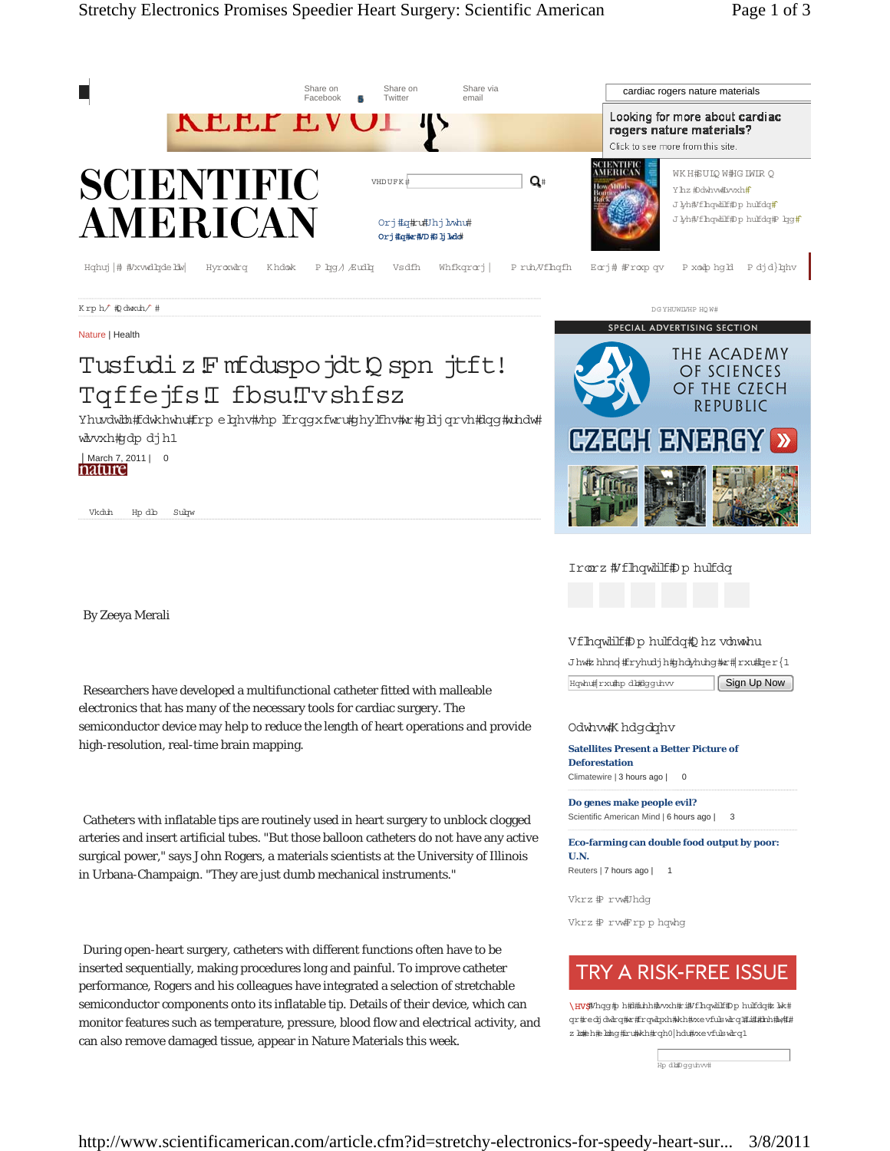

**Deforestation** Climatewire | 3 hours ago | 0

> **Do genes make people evil?** Scientific American Mind | 6 hours ago | 3

**Satellites Present a Better Picture of** 

**Eco-farming can double food output by poor: U.N.**

Reuters | 7 hours ago | 1

Vkrz # rw#Jhdg

Vkrz # rw#rp p hqwhg

# TRY A RISK-FREE ISSUE

\HV\$Whqg#p h#l#uhh#lvxh#ri#Vfhqwlilf#Dp hulfdq#z lwk# qr#redjdwlrq#wr#frqwlqxh#kh#xevfulswlrq#i##hh#w## z lookeh#elobq#iru#Wkh#rqh0|hdu#xxevfulswlrq1

|<br>Hp dl#Dgguhvv#

http://www.scientificamerican.com/article.cfm?id=stretchy-electronics-for-speedy-heart-sur... 3/8/2011

semiconductor device may help to reduce the length of heart operations and provide high-resolution, real-time brain mapping.

 Catheters with inflatable tips are routinely used in heart surgery to unblock clogged arteries and insert artificial tubes. "But those balloon catheters do not have any active surgical power," says John Rogers, a materials scientists at the University of Illinois in Urbana-Champaign. "They are just dumb mechanical instruments."

 During open-heart surgery, catheters with different functions often have to be inserted sequentially, making procedures long and painful. To improve catheter performance, Rogers and his colleagues have integrated a selection of stretchable semiconductor components onto its inflatable tip. Details of their device, which can monitor features such as temperature, pressure, blood flow and electrical activity, and can also remove damaged tissue, appear in Nature Materials this week.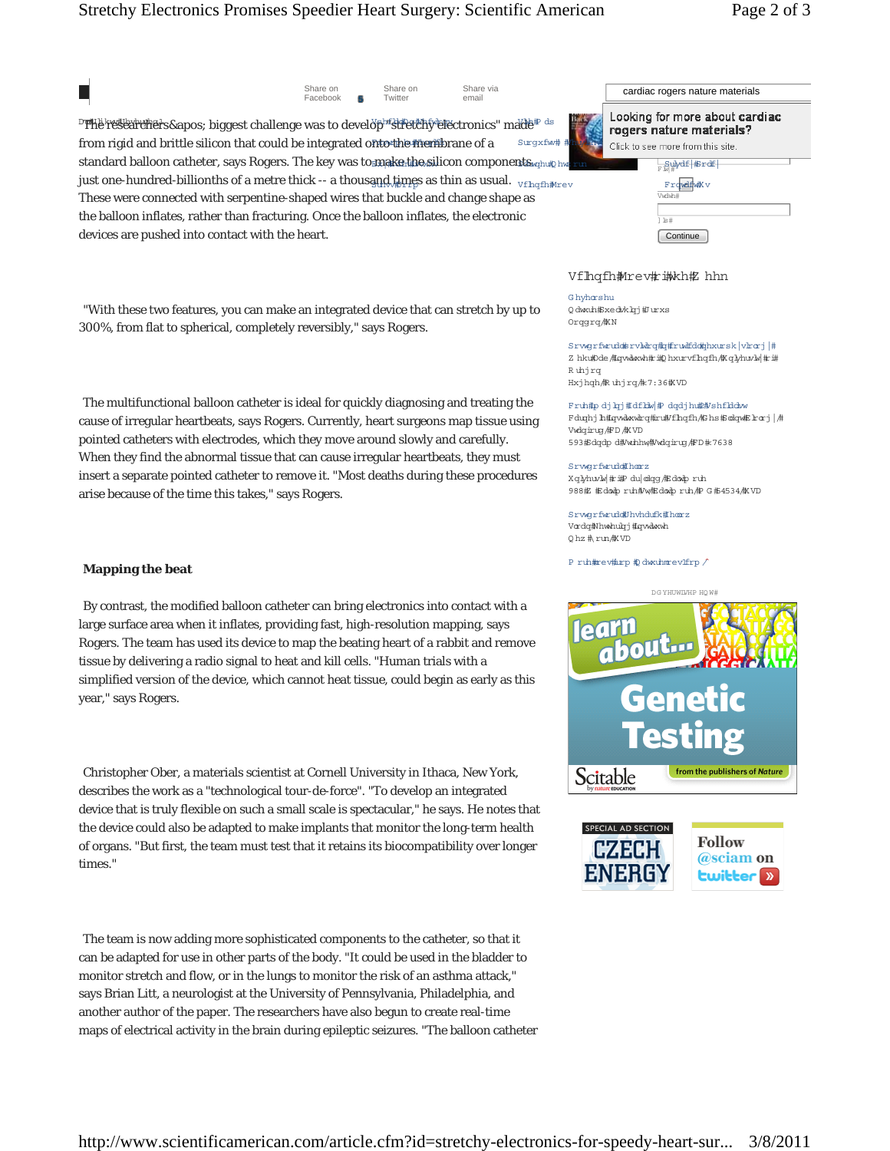## Stretchy Electronics Promises Speedier Heart Surgery: Scientific American Page 2 of 3

 $\blacksquare$ 

Share or Facebook Share on **5** Twitter **55555555**

Share via<br>email

 $\mathbb{P}$ ቸሽië resëarchers' biggest challenge was to develos $\mathbb{P}$ rfidetëny electronics" made $\mathbb{P}$ from rigid and brittle silicon that could be integrated onto the membrane of a straxfield  $\frac{4\pi\epsilon}{\epsilon}$  Click to see more from this standard balloon catheter, says Rogers. The key was to make the silicon components rating the run and the subdet strett just one-hundred-billionths of a metre thick -- a thousand,times as thin as usual.  $\rm v_{fInqfn\#new}$  and  $\rm v_{fInqfn\#new}$ These were connected with serpentine-shaped wires that buckle and change shape as the balloon inflates, rather than fracturing. Once the balloon inflates, the electronic devices are pushed into contact with the heart.

 "With these two features, you can make an integrated device that can stretch by up to 300%, from flat to spherical, completely reversibly," says Rogers.

 The multifunctional balloon catheter is ideal for quickly diagnosing and treating the cause of irregular heartbeats, says Rogers. Currently, heart surgeons map tissue using pointed catheters with electrodes, which they move around slowly and carefully. When they find the abnormal tissue that can cause irregular heartbeats, they must insert a separate pointed catheter to remove it. "Most deaths during these procedures arise because of the time this takes," says Rogers.

### **Mapping the beat**

 By contrast, the modified balloon catheter can bring electronics into contact with a large surface area when it inflates, providing fast, high-resolution mapping, says Rogers. The team has used its device to map the beating heart of a rabbit and remove tissue by delivering a radio signal to heat and kill cells. "Human trials with a simplified version of the device, which cannot heat tissue, could begin as early as this year," says Rogers.

 Christopher Ober, a materials scientist at Cornell University in Ithaca, New York, describes the work as a "technological tour-de-force". "To develop an integrated device that is truly flexible on such a small scale is spectacular," he says. He notes that the device could also be adapted to make implants that monitor the long-term health of organs. "But first, the team must test that it retains its biocompatibility over longer times."

 The team is now adding more sophisticated components to the catheter, so that it can be adapted for use in other parts of the body. "It could be used in the bladder to monitor stretch and flow, or in the lungs to monitor the risk of an asthma attack," says Brian Litt, a neurologist at the University of Pennsylvania, Philadelphia, and another author of the paper. The researchers have also begun to create real-time maps of electrical activity in the brain during epileptic seizures. "The balloon catheter

| Share on<br>Twitter                                                     | Share Via<br>email |                                                            |        | cardiac rogers nature materials |
|-------------------------------------------------------------------------|--------------------|------------------------------------------------------------|--------|---------------------------------|
| <sup>y</sup> p <sup>hr</sup> strett/hy efectronics" made# <sup>as</sup> |                    | Looking for more about cardiac<br>rogers nature materials? |        |                                 |
| nto the menibrane of a<br>Surgxfw# #                                    |                    | Click to see more from this site.                          |        |                                 |
| make the silicon components <sub>wahut</sub> hy run                     |                    |                                                            |        | Filled Firdf                    |
| <b>and times as thin as usual.</b> <sub>Vfhqfh#rev</sub>                |                    |                                                            |        | Frowdfw#v                       |
| at buckle and change shape as                                           |                    |                                                            | Vwdwh# |                                 |
| alloon inflates, the electronic                                         |                    |                                                            | k      |                                 |

Continue

#### Vfhqfh\rev#ikh# hhn

Ghyhorshu Q dwath#Sxedvk brj#Jurxs Orqqrq/ # N

SrwgrfwuddsrvMrq#q#rw#dd#phxursk|vlrcrj|# Z hku#0de #fqwdwxwh#ci#Q hxurvf hqfh#K qlyhuvlw|#ci# Ruhjrq Hxjhqh/ #Ruhjrq/ #7:36 # VD

Fruh#p dj krj#dfkbw|#P dqdjhu##Vshfkldbw Fduqhj h#qwdwwdrq#iru#/fhqfh/#Bhs#Sodqw#Ehorj | /# Vwdqiruq /#D /#XVD ;GD1  4 4'ABEDH

#### Srwgrfwuddfhorz Xqlyhuvlw|#ri#P du|odqg/#Edowlp ruh 988枢 据doup ruh#/w#Edoup ruh/#P G #54534/4K VD

SrvgrfwruddUhvhdufk#horz Vorda#Nhwhubri#orvalwxwh 0hz # run # VD

P ruh#rev#urp #Q dwauhmrev1frp /